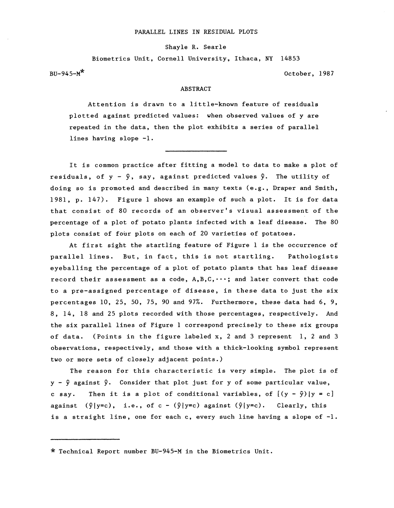## PARALLEL LINES IN RESIDUAL PLOTS

Shayle R. Searle

Biometrics Unit, Cornell University, Ithaca, NY 14853

 $BU-945-M^*$  October, 1987

## ABSTRACT

Attention is drawn to a little-known feature of residuals plotted against predicted values: when observed values of y are repeated in the data, then the plot exhibits a series of parallel lines having slope -1.

It is common practice after fitting a model to data to make a plot of residuals, of  $y - \hat{y}$ , say, against predicted values  $\hat{y}$ . The utility of doing so is promoted and described in many texts (e.g., Draper and Smith, 1981, p. 147). Figure 1 shows an example of such a plot. It is for data that consist of 80 records of an observer's visual assessment of the percentage of a plot of potato plants infected with a leaf disease. The 80 plots consist of four plots on each of 20 varieties of potatoes.

At first sight the startling feature of Figure 1 is the occurrence of parallel lines. But, in fact, this is not startling. Pathologists eyeballing the percentage of a plot of potato plants that has leaf disease record their assessment as a code,  $A, B, C, \dots$ ; and later convert that code to a pre-assigned percentage of disease, in these data to just the six percentages 10, 25, 50, 75, 90 and 97%. Furthermore, these data had 6, 9, 8, 14, 18 and 25 plots recorded with those percentages, respectively. And the six parallel lines of Figure 1 correspond precisely to these six groups of data. (Points in the figure labeled x, 2 and 3 represent 1, 2 and 3 observations, respectively, and those with a thick-looking symbol represent two or more sets of closely adjacent points.)

The reason for this characteristic is very simple. The plot is of  $y - \hat{y}$  against  $\hat{y}$ . Consider that plot just for y of some particular value, c say. Then it is a plot of conditional variables, of  $[(y - \hat{y})|y = c]$ against  $(\hat{y}|y=c)$ , i.e., of c -  $(\hat{y}|y=c)$  against  $(\hat{y}|y=c)$ . Clearly, this is a straight line, one for each c, every such line having a slope of  $-1$ .

<sup>\*</sup> Technical Report number BU-945-M in the Biometrics Unit.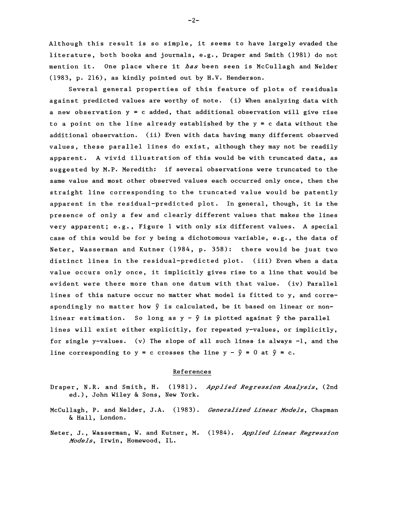Although this result is so simple, it seems to have largely evaded the literature, both books and journals, e.g., Draper and Smith (1981) do not mention it. One place where it *has* been seen is McCullagh and Nelder (1983, p. 216), as kindly pointed out by H.V. Henderson.

Several general properties of this feature of plots of residuals against predicted values are worthy of note. (i) When analyzing data with a new observation  $y = c$  added, that additional observation will give rise to a point on the line already established by the  $y = c$  data without the additional obsarvation. (ii) Even with data having many different observed values, these parallel lines do exist, although they may not be readily apparent. A vivid illustration of this would be with truncated data, as suggested by M.P. Meredith: if several observations were truncated to the same value and most other observed values each occurred only once, then the straight line corresponding to the truncated value would be patently apparent in the residual-predicted plot. In general, though, it is the presence of only a few and clearly different values that makes the lines very apparent; e.g., Figure 1 with only six different values. A special case of this would be for y being a dichotomous variable, e.g., the data of Neter, Wasserman and Kutner (1984, p. 358): there would be just two distinct lines in the residual-predicted plot. (iii) Even when a data value occurs only once, it implicitly gives rise to a line that would be evident were there more than one datum with that value. (iv) Parallel lines of this nature occur no matter what model is fitted to y, and correspondingly no matter how  $\hat{y}$  is calculated, be it based on linear or nonlinear estimation. So long as  $y - \hat{y}$  is plotted against  $\hat{y}$  the parallel lines will exist either explicitly, for repeated y-values, or implicitly, for single y-values. (v) The slope of all such lines is always  $-l$ , and the line corresponding to  $y = c$  crosses the line  $y - \hat{y} = 0$  at  $\hat{y} = c$ .

## References

- Draper, N.R. and Smith, H. (1981). *Applied Regression Analysis*, (2nd ed.), John Wiley & Sons, New York.
- McCullagh, P. and Nelder, J.A. (1983). *Generalized Linear Models*, Chapman & Hall, London.
- Neter, J., Wasserman, W. and Kutner, M. (1984). *Applied L1near Regress1on JVodels,* Irwin, Homewood, IL.

-2-